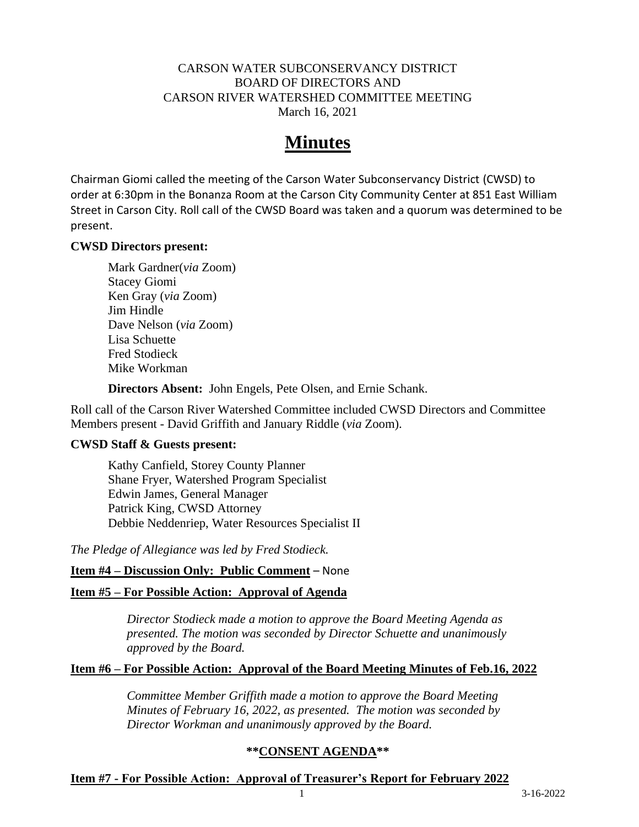#### CARSON WATER SUBCONSERVANCY DISTRICT BOARD OF DIRECTORS AND CARSON RIVER WATERSHED COMMITTEE MEETING March 16, 2021

# **Minutes**

Chairman Giomi called the meeting of the Carson Water Subconservancy District (CWSD) to order at 6:30pm in the Bonanza Room at the Carson City Community Center at 851 East William Street in Carson City. Roll call of the CWSD Board was taken and a quorum was determined to be present.

#### **CWSD Directors present:**

Mark Gardner(*via* Zoom) Stacey Giomi Ken Gray (*via* Zoom) Jim Hindle Dave Nelson (*via* Zoom) Lisa Schuette Fred Stodieck Mike Workman

**Directors Absent:** John Engels, Pete Olsen, and Ernie Schank.

Roll call of the Carson River Watershed Committee included CWSD Directors and Committee Members present - David Griffith and January Riddle (*via* Zoom).

#### **CWSD Staff & Guests present:**

Kathy Canfield, Storey County Planner Shane Fryer, Watershed Program Specialist Edwin James, General Manager Patrick King, CWSD Attorney Debbie Neddenriep, Water Resources Specialist II

*The Pledge of Allegiance was led by Fred Stodieck.*

## **Item #4 – Discussion Only: Public Comment** – None

## **Item #5 – For Possible Action: Approval of Agenda**

*Director Stodieck made a motion to approve the Board Meeting Agenda as presented. The motion was seconded by Director Schuette and unanimously approved by the Board.*

## **Item #6 – For Possible Action: Approval of the Board Meeting Minutes of Feb.16, 2022**

*Committee Member Griffith made a motion to approve the Board Meeting Minutes of February 16, 2022, as presented. The motion was seconded by Director Workman and unanimously approved by the Board.*

## **\*\*CONSENT AGENDA\*\***

## **Item #7 - For Possible Action: Approval of Treasurer's Report for February 2022**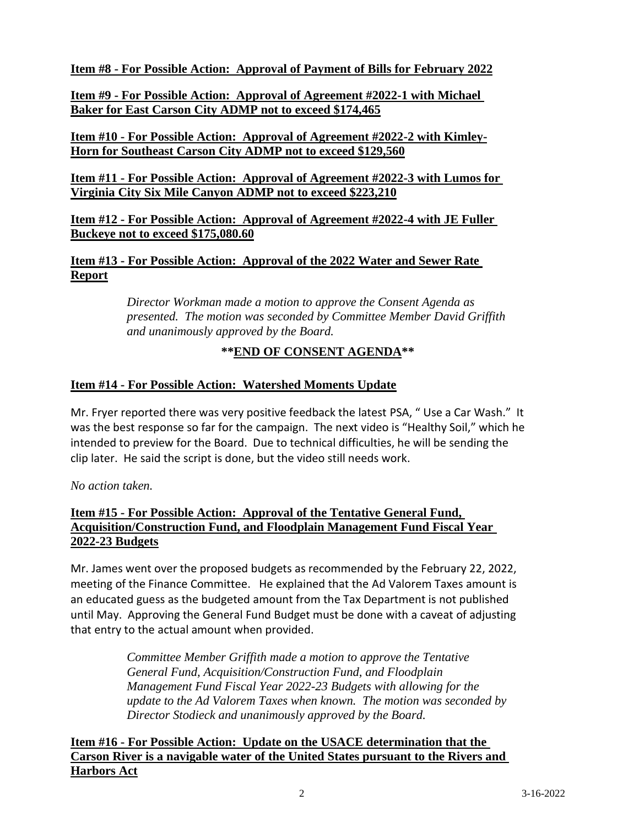**Item #8 - For Possible Action: Approval of Payment of Bills for February 2022**

**Item #9 - For Possible Action: Approval of Agreement #2022-1 with Michael Baker for East Carson City ADMP not to exceed \$174,465**

## **Item #10 - For Possible Action: Approval of Agreement #2022-2 with Kimley-Horn for Southeast Carson City ADMP not to exceed \$129,560**

**Item #11 - For Possible Action: Approval of Agreement #2022-3 with Lumos for Virginia City Six Mile Canyon ADMP not to exceed \$223,210**

## **Item #12 - For Possible Action: Approval of Agreement #2022-4 with JE Fuller Buckeye not to exceed \$175,080.60**

**Item #13 - For Possible Action: Approval of the 2022 Water and Sewer Rate Report**

> *Director Workman made a motion to approve the Consent Agenda as presented. The motion was seconded by Committee Member David Griffith and unanimously approved by the Board.*

# **\*\*END OF CONSENT AGENDA\*\***

## **Item #14 - For Possible Action: Watershed Moments Update**

Mr. Fryer reported there was very positive feedback the latest PSA, " Use a Car Wash." It was the best response so far for the campaign. The next video is "Healthy Soil," which he intended to preview for the Board. Due to technical difficulties, he will be sending the clip later. He said the script is done, but the video still needs work.

*No action taken.*

## **Item #15 - For Possible Action: Approval of the Tentative General Fund, Acquisition/Construction Fund, and Floodplain Management Fund Fiscal Year 2022-23 Budgets**

Mr. James went over the proposed budgets as recommended by the February 22, 2022, meeting of the Finance Committee. He explained that the Ad Valorem Taxes amount is an educated guess as the budgeted amount from the Tax Department is not published until May. Approving the General Fund Budget must be done with a caveat of adjusting that entry to the actual amount when provided.

> *Committee Member Griffith made a motion to approve the Tentative General Fund, Acquisition/Construction Fund, and Floodplain Management Fund Fiscal Year 2022-23 Budgets with allowing for the update to the Ad Valorem Taxes when known. The motion was seconded by Director Stodieck and unanimously approved by the Board.*

**Item #16 - For Possible Action: Update on the USACE determination that the Carson River is a navigable water of the United States pursuant to the Rivers and Harbors Act**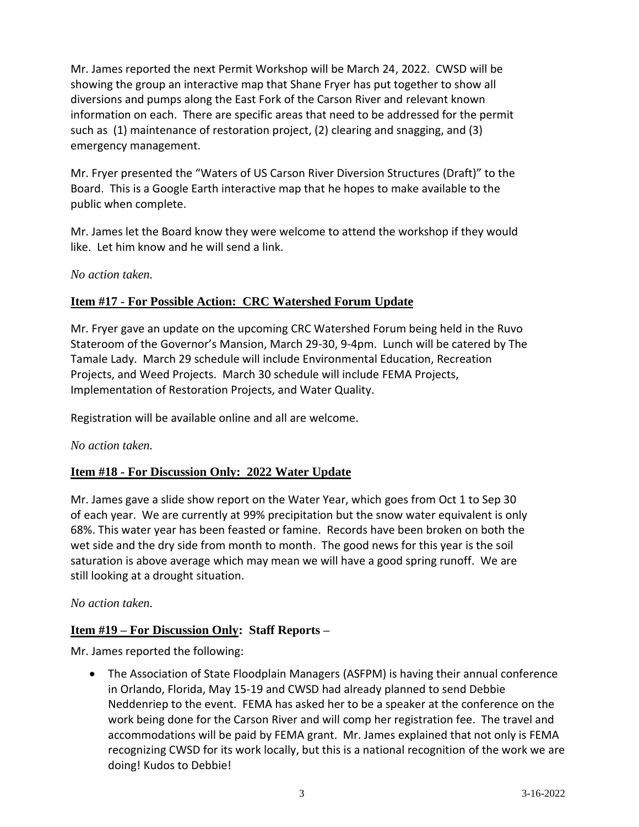Mr. James reported the next Permit Workshop will be March 24, 2022. CWSD will be showing the group an interactive map that Shane Fryer has put together to show all diversions and pumps along the East Fork of the Carson River and relevant known information on each. There are specific areas that need to be addressed for the permit such as (1) maintenance of restoration project, (2) clearing and snagging, and (3) emergency management.

Mr. Fryer presented the "Waters of US Carson River Diversion Structures (Draft)" to the Board. This is a Google Earth interactive map that he hopes to make available to the public when complete.

Mr. James let the Board know they were welcome to attend the workshop if they would like. Let him know and he will send a link.

## *No action taken.*

## **Item #17 - For Possible Action: CRC Watershed Forum Update**

Mr. Fryer gave an update on the upcoming CRC Watershed Forum being held in the Ruvo Stateroom of the Governor's Mansion, March 29-30, 9-4pm. Lunch will be catered by The Tamale Lady. March 29 schedule will include Environmental Education, Recreation Projects, and Weed Projects. March 30 schedule will include FEMA Projects, Implementation of Restoration Projects, and Water Quality.

Registration will be available online and all are welcome.

#### *No action taken.*

## **Item #18 - For Discussion Only: 2022 Water Update**

Mr. James gave a slide show report on the Water Year, which goes from Oct 1 to Sep 30 of each year. We are currently at 99% precipitation but the snow water equivalent is only 68%. This water year has been feasted or famine. Records have been broken on both the wet side and the dry side from month to month. The good news for this year is the soil saturation is above average which may mean we will have a good spring runoff. We are still looking at a drought situation.

## *No action taken.*

## **Item #19 – For Discussion Only: Staff Reports –**

Mr. James reported the following:

• The Association of State Floodplain Managers (ASFPM) is having their annual conference in Orlando, Florida, May 15-19 and CWSD had already planned to send Debbie Neddenriep to the event. FEMA has asked her to be a speaker at the conference on the work being done for the Carson River and will comp her registration fee. The travel and accommodations will be paid by FEMA grant. Mr. James explained that not only is FEMA recognizing CWSD for its work locally, but this is a national recognition of the work we are doing! Kudos to Debbie!